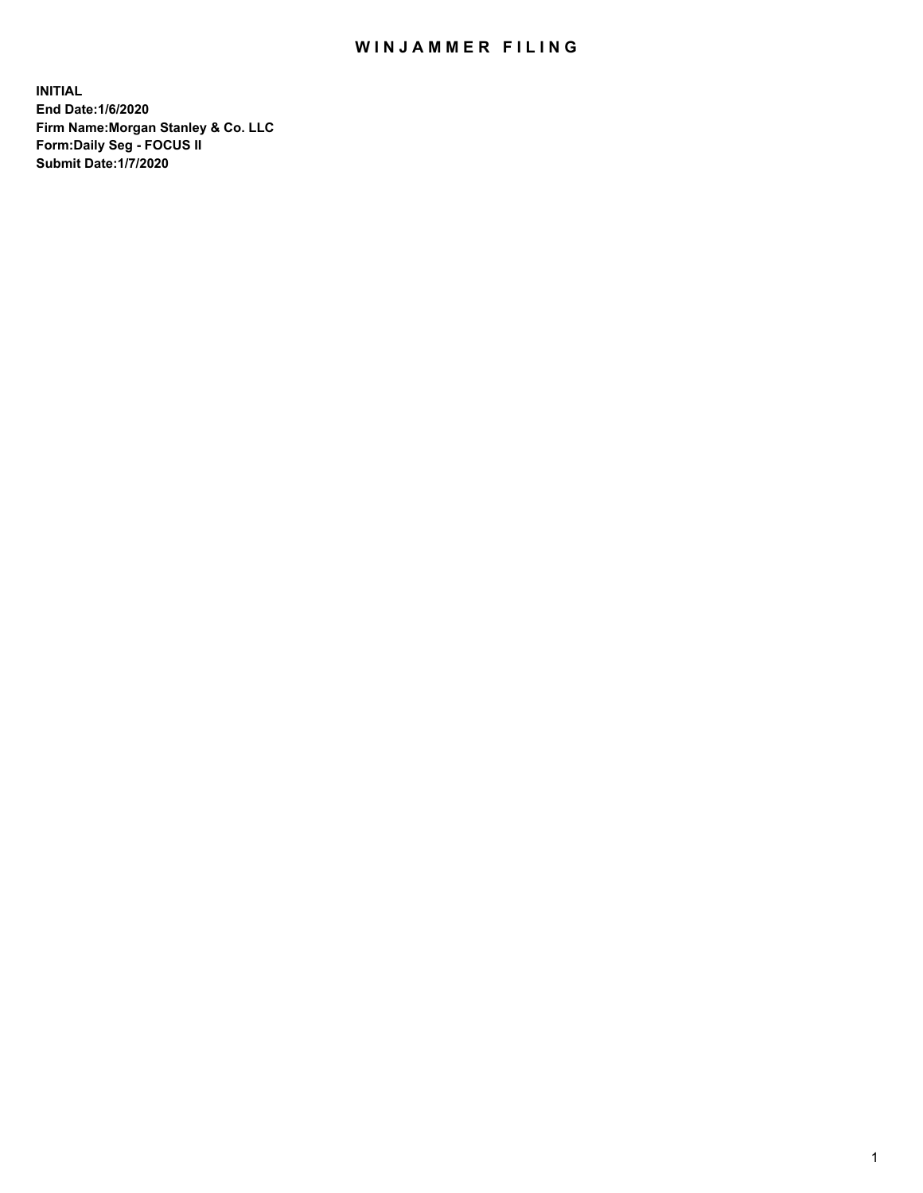## WIN JAMMER FILING

**INITIAL End Date:1/6/2020 Firm Name:Morgan Stanley & Co. LLC Form:Daily Seg - FOCUS II Submit Date:1/7/2020**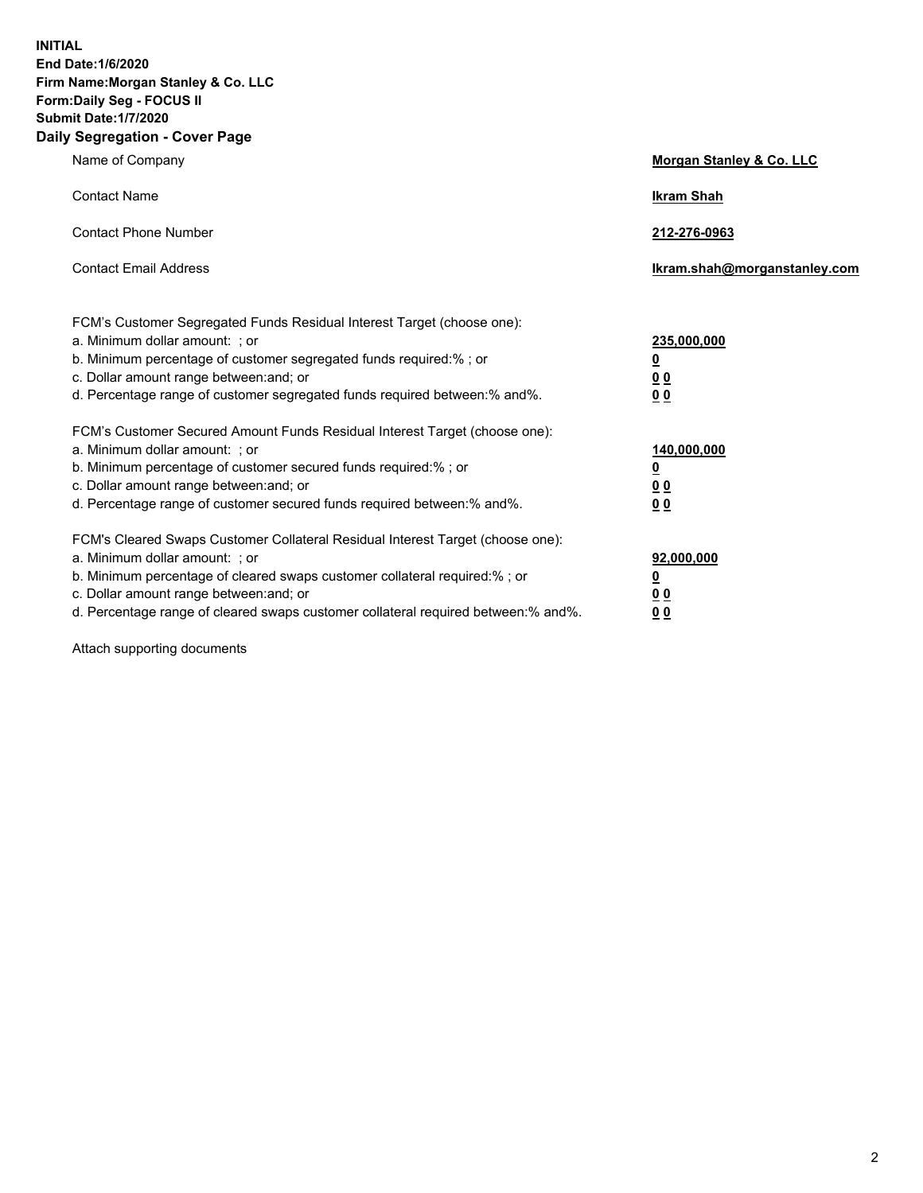**INITIAL End Date:1/6/2020 Firm Name:Morgan Stanley & Co. LLC Form:Daily Seg - FOCUS II Submit Date:1/7/2020 Daily Segregation - Cover Page**

| Name of Company                                                                   | Morgan Stanley & Co. LLC     |
|-----------------------------------------------------------------------------------|------------------------------|
| <b>Contact Name</b>                                                               | <b>Ikram Shah</b>            |
| <b>Contact Phone Number</b>                                                       | 212-276-0963                 |
| <b>Contact Email Address</b>                                                      | Ikram.shah@morganstanley.com |
| FCM's Customer Segregated Funds Residual Interest Target (choose one):            |                              |
| a. Minimum dollar amount: ; or                                                    | 235,000,000                  |
| b. Minimum percentage of customer segregated funds required:%; or                 | <u>0</u>                     |
| c. Dollar amount range between: and; or                                           | <u>00</u>                    |
| d. Percentage range of customer segregated funds required between:% and%.         | <u>00</u>                    |
| FCM's Customer Secured Amount Funds Residual Interest Target (choose one):        |                              |
| a. Minimum dollar amount: ; or                                                    | 140,000,000                  |
| b. Minimum percentage of customer secured funds required:%; or                    | <u>0</u>                     |
| c. Dollar amount range between: and; or                                           | <u>00</u>                    |
| d. Percentage range of customer secured funds required between: % and %.          | 0 <sub>0</sub>               |
| FCM's Cleared Swaps Customer Collateral Residual Interest Target (choose one):    |                              |
| a. Minimum dollar amount: ; or                                                    | 92,000,000                   |
| b. Minimum percentage of cleared swaps customer collateral required:% ; or        | <u>0</u>                     |
| c. Dollar amount range between: and; or                                           | 00                           |
| d. Percentage range of cleared swaps customer collateral required between:% and%. | 00                           |

Attach supporting documents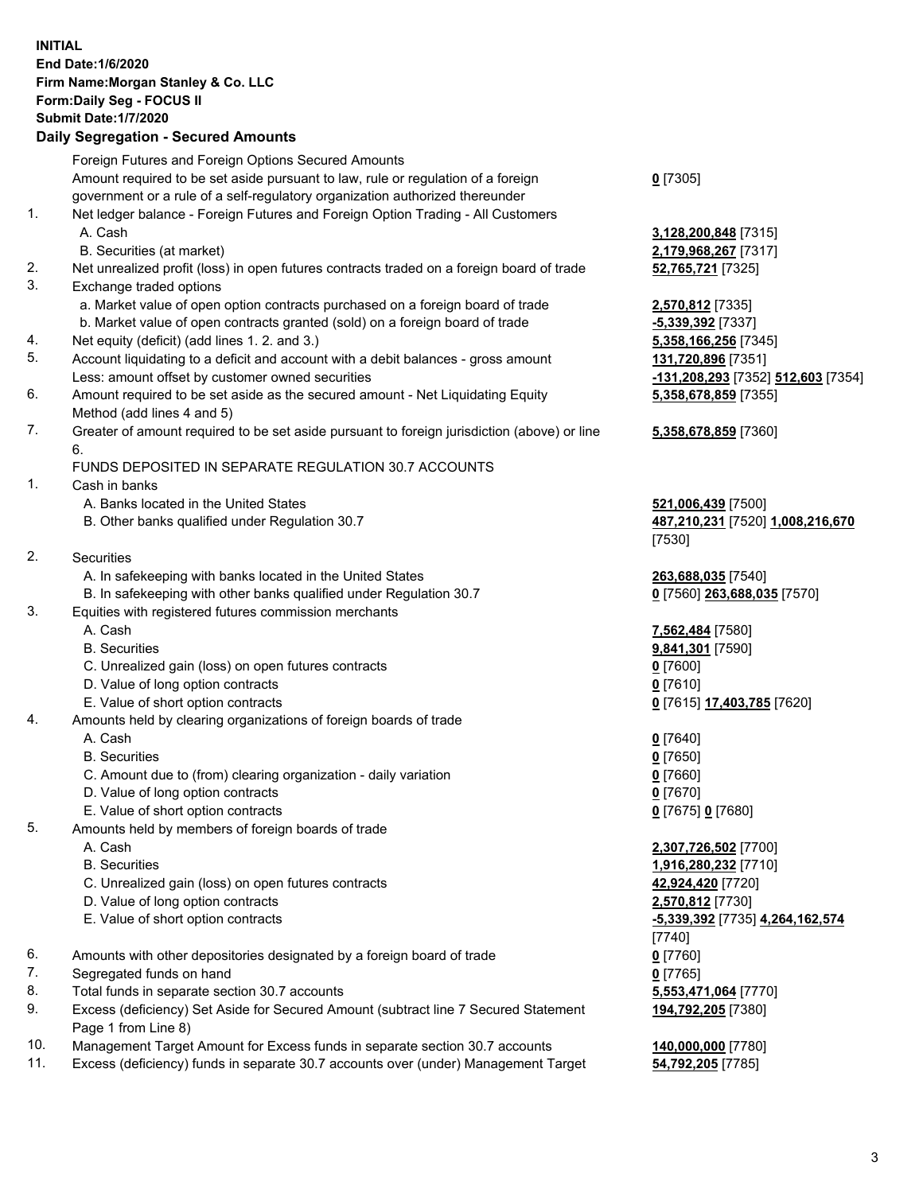|          | <b>INITIAL</b><br>End Date: 1/6/2020<br>Firm Name: Morgan Stanley & Co. LLC<br>Form: Daily Seg - FOCUS II<br><b>Submit Date: 1/7/2020</b><br><b>Daily Segregation - Secured Amounts</b> |                                              |
|----------|-----------------------------------------------------------------------------------------------------------------------------------------------------------------------------------------|----------------------------------------------|
|          | Foreign Futures and Foreign Options Secured Amounts                                                                                                                                     |                                              |
|          | Amount required to be set aside pursuant to law, rule or regulation of a foreign<br>government or a rule of a self-regulatory organization authorized thereunder                        | $0$ [7305]                                   |
| 1.       | Net ledger balance - Foreign Futures and Foreign Option Trading - All Customers                                                                                                         |                                              |
|          | A. Cash                                                                                                                                                                                 | 3,128,200,848 [7315]                         |
|          | B. Securities (at market)                                                                                                                                                               | 2,179,968,267 [7317]                         |
| 2.<br>3. | Net unrealized profit (loss) in open futures contracts traded on a foreign board of trade<br>Exchange traded options                                                                    | 52,765,721 [7325]                            |
|          | a. Market value of open option contracts purchased on a foreign board of trade                                                                                                          | 2,570,812 [7335]                             |
|          | b. Market value of open contracts granted (sold) on a foreign board of trade                                                                                                            | -5,339,392 [7337]                            |
| 4.       | Net equity (deficit) (add lines 1.2. and 3.)                                                                                                                                            | 5,358,166,256 [7345]                         |
| 5.       | Account liquidating to a deficit and account with a debit balances - gross amount                                                                                                       | 131,720,896 [7351]                           |
|          | Less: amount offset by customer owned securities                                                                                                                                        | -131,208,293 [7352] 512,603 [7354]           |
| 6.       | Amount required to be set aside as the secured amount - Net Liquidating Equity<br>Method (add lines 4 and 5)                                                                            | 5,358,678,859 [7355]                         |
| 7.       | Greater of amount required to be set aside pursuant to foreign jurisdiction (above) or line<br>6.                                                                                       | 5,358,678,859 [7360]                         |
|          | FUNDS DEPOSITED IN SEPARATE REGULATION 30.7 ACCOUNTS                                                                                                                                    |                                              |
| 1.       | Cash in banks                                                                                                                                                                           |                                              |
|          | A. Banks located in the United States                                                                                                                                                   | 521,006,439 [7500]                           |
|          | B. Other banks qualified under Regulation 30.7                                                                                                                                          | 487,210,231 [7520] 1,008,216,670<br>[7530]   |
| 2.       | Securities                                                                                                                                                                              |                                              |
|          | A. In safekeeping with banks located in the United States                                                                                                                               | 263,688,035 [7540]                           |
|          | B. In safekeeping with other banks qualified under Regulation 30.7                                                                                                                      | 0 [7560] 263,688,035 [7570]                  |
| 3.       | Equities with registered futures commission merchants<br>A. Cash                                                                                                                        |                                              |
|          | <b>B.</b> Securities                                                                                                                                                                    | 7,562,484 [7580]<br>9,841,301 [7590]         |
|          | C. Unrealized gain (loss) on open futures contracts                                                                                                                                     | $0$ [7600]                                   |
|          | D. Value of long option contracts                                                                                                                                                       | $0$ [7610]                                   |
|          | E. Value of short option contracts                                                                                                                                                      | <u>0</u> [7615] <u>17,403,785</u> [7620]     |
| 4.       | Amounts held by clearing organizations of foreign boards of trade                                                                                                                       |                                              |
|          | A. Cash                                                                                                                                                                                 | $0$ [7640]                                   |
|          | <b>B.</b> Securities                                                                                                                                                                    | $0$ [7650]                                   |
|          | C. Amount due to (from) clearing organization - daily variation                                                                                                                         | $0$ [7660]                                   |
|          | D. Value of long option contracts                                                                                                                                                       | $0$ [7670]                                   |
|          | E. Value of short option contracts                                                                                                                                                      | 0 [7675] 0 [7680]                            |
| 5.       | Amounts held by members of foreign boards of trade                                                                                                                                      |                                              |
|          | A. Cash<br><b>B.</b> Securities                                                                                                                                                         | 2,307,726,502 [7700]<br>1,916,280,232 [7710] |
|          | C. Unrealized gain (loss) on open futures contracts                                                                                                                                     | 42,924,420 [7720]                            |
|          | D. Value of long option contracts                                                                                                                                                       | 2,570,812 [7730]                             |
|          | E. Value of short option contracts                                                                                                                                                      | -5,339,392 [7735] 4,264,162,574              |
|          |                                                                                                                                                                                         | $[7740]$                                     |
| 6.       | Amounts with other depositories designated by a foreign board of trade                                                                                                                  | $0$ [7760]                                   |
| 7.       | Segregated funds on hand                                                                                                                                                                | $0$ [7765]                                   |
| 8.       | Total funds in separate section 30.7 accounts                                                                                                                                           | 5,553,471,064 [7770]                         |
| 9.       | Excess (deficiency) Set Aside for Secured Amount (subtract line 7 Secured Statement<br>Page 1 from Line 8)                                                                              | 194,792,205 [7380]                           |
| 10.      | Management Target Amount for Excess funds in separate section 30.7 accounts                                                                                                             | 140,000,000 [7780]                           |

11. Excess (deficiency) funds in separate 30.7 accounts over (under) Management Target **54,792,205** [7785]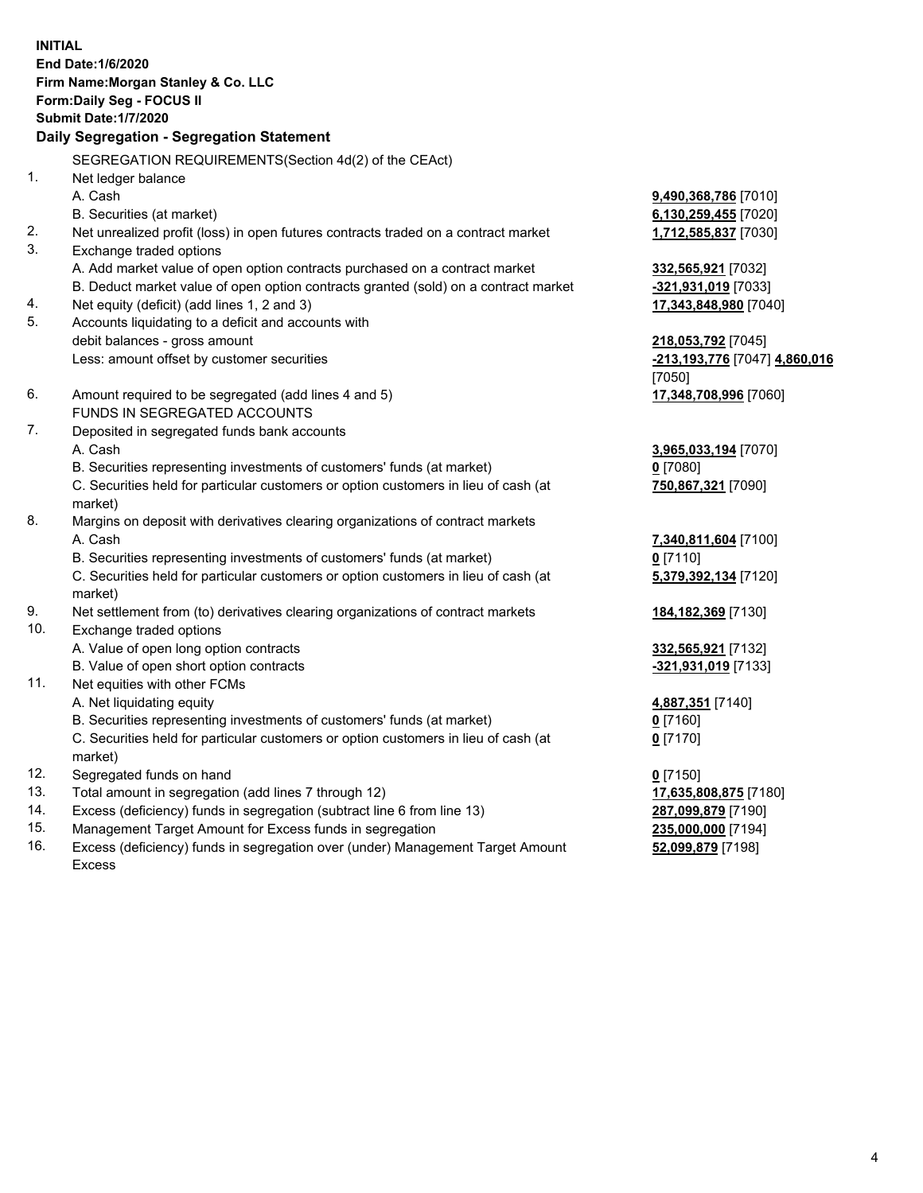**INITIAL End Date:1/6/2020 Firm Name:Morgan Stanley & Co. LLC Form:Daily Seg - FOCUS II Submit Date:1/7/2020 Daily Segregation - Segregation Statement** SEGREGATION REQUIREMENTS(Section 4d(2) of the CEAct) 1. Net ledger balance A. Cash **9,490,368,786** [7010] B. Securities (at market) **6,130,259,455** [7020] 2. Net unrealized profit (loss) in open futures contracts traded on a contract market **1,712,585,837** [7030] 3. Exchange traded options A. Add market value of open option contracts purchased on a contract market **332,565,921** [7032] B. Deduct market value of open option contracts granted (sold) on a contract market **-321,931,019** [7033] 4. Net equity (deficit) (add lines 1, 2 and 3) **17,343,848,980** [7040] 5. Accounts liquidating to a deficit and accounts with debit balances - gross amount **218,053,792** [7045] Less: amount offset by customer securities **-213,193,776** [7047] **4,860,016** [7050] 6. Amount required to be segregated (add lines 4 and 5) **17,348,708,996** [7060] FUNDS IN SEGREGATED ACCOUNTS 7. Deposited in segregated funds bank accounts A. Cash **3,965,033,194** [7070] B. Securities representing investments of customers' funds (at market) **0** [7080] C. Securities held for particular customers or option customers in lieu of cash (at market) **750,867,321** [7090] 8. Margins on deposit with derivatives clearing organizations of contract markets A. Cash **7,340,811,604** [7100] B. Securities representing investments of customers' funds (at market) **0** [7110] C. Securities held for particular customers or option customers in lieu of cash (at market) **5,379,392,134** [7120] 9. Net settlement from (to) derivatives clearing organizations of contract markets **184,182,369** [7130] 10. Exchange traded options A. Value of open long option contracts **332,565,921** [7132] B. Value of open short option contracts **-321,931,019** [7133] 11. Net equities with other FCMs A. Net liquidating equity **4,887,351** [7140] B. Securities representing investments of customers' funds (at market) **0** [7160] C. Securities held for particular customers or option customers in lieu of cash (at market) **0** [7170] 12. Segregated funds on hand **0** [7150] 13. Total amount in segregation (add lines 7 through 12) **17,635,808,875** [7180] 14. Excess (deficiency) funds in segregation (subtract line 6 from line 13) **287,099,879** [7190] 15. Management Target Amount for Excess funds in segregation **235,000,000** [7194]

16. Excess (deficiency) funds in segregation over (under) Management Target Amount Excess

**52,099,879** [7198]